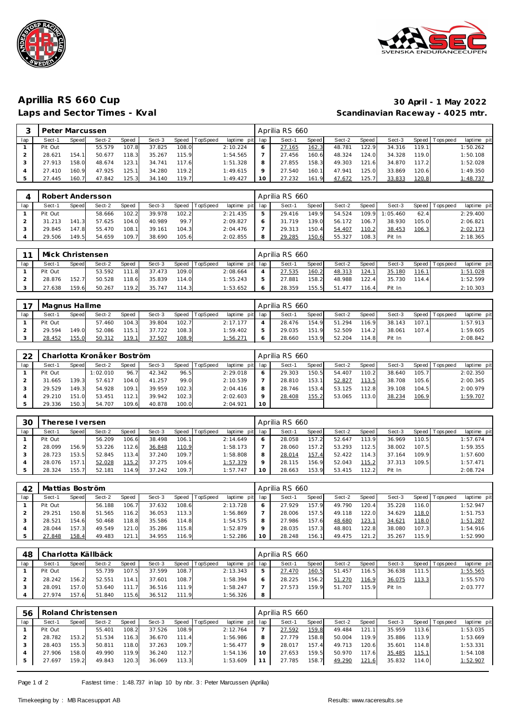



## **Aprillia RS 660 Cup 30 April - 1 May 2022** Scandinavian Raceway - 4025 mtr.

|     | Peter Marcussen |       |        |       |        |       |                |                 |         | Aprilia RS 660 |       |        |       |        |        |            |             |
|-----|-----------------|-------|--------|-------|--------|-------|----------------|-----------------|---------|----------------|-------|--------|-------|--------|--------|------------|-------------|
| lap | Sect-1          | Speed | Sect-2 | Speed | Sect-3 |       | Speed TopSpeed | laptime pit lap |         | Sect-1         | Speed | Sect-2 | Speed | Sect-3 | Speed  | Tops pee d | laptime pit |
|     | Pit Out         |       | 55.579 | 107.8 | 37.825 | 108.C |                | 2:10.224        | $\circ$ | 27.165         | 162.3 | 48.781 | 122.9 | 34.316 | 119.1  |            | 1:50.262    |
|     | 28.621          | 154.1 | 50.677 | 118.3 | 35.267 | 115.9 |                | 1:54.565        |         | 27.456         | 160.6 | 48.324 | 124.0 | 34.328 | 119.0  |            | 1:50.108    |
|     | 27.913          | 158.0 | 48.674 | 123.1 | 34.741 | 17.6  |                | 1:51.328        | 8       | 27.855         | 158.3 | 49.303 | 121.6 | 34.870 | 117.2  |            | 1:52.028    |
|     | 27.410          | 160.9 | 47.925 | 125.1 | 34.280 | 119.2 |                | 1:49.615        | Q       | 27.540         | 160.1 | 47.941 | 125.0 | 33.869 | 120.61 |            | 1:49.350    |
|     | 27.445          | 160.7 | 47.842 | 125.3 | 34.140 | 119.7 |                | 1:49.427        | 10      | 27.232         | 161.9 | 47.672 | 125.7 | 33.833 | 120.8  |            | 1:48.737    |

|     | Robert Andersson |       |        |              |        |       |          |                 | Aprilia RS 660 |       |        |         |                |       |                 |             |
|-----|------------------|-------|--------|--------------|--------|-------|----------|-----------------|----------------|-------|--------|---------|----------------|-------|-----------------|-------------|
| lan | Sect-1           | Speed | Sect-2 | <b>Speed</b> | Sect-3 | Speed | TopSpeed | laptime pit lap | Sect-1         | Speed | Sect-2 | Speed I | Sect-3         |       | Speed Tops peed | laptime pit |
|     | Pit Out          |       | 58.666 | 102.2        | 39.978 | 102.2 |          | 2:21.435        | 29.416         | 149.9 | 54.524 |         | 109.9 1:05.460 | 62.4  |                 | 2:29.400    |
|     | 31.213           | 141.3 | 57.625 | 104.0        | 40.989 | 99.7  |          | 2:09.827        | 31.719         | 139.0 | 56.172 | 106.7   | 38.930         | 105.0 |                 | 2:06.821    |
|     | 29.845           | 147.8 | 55.470 | 108.1        | 39.161 | 104.3 |          | 2:04.476        | 29.313         | 150.4 | 54.407 | 110.2   | 38.453         | 106.3 |                 | 2:02.173    |
|     | 29.506           | 149.5 | 54.659 | 109.7        | 38.690 | 105.6 |          | 2:02.855        | 29.285         | 150.6 | 55.327 | 108.3   | Pit In         |       |                 | 2:18.365    |

|     | Mick Christensen |       |        |            |        |           |          |                 | Aprilia RS 660 |       |        |        |        |               |                   |                 |
|-----|------------------|-------|--------|------------|--------|-----------|----------|-----------------|----------------|-------|--------|--------|--------|---------------|-------------------|-----------------|
| lap | Sect-1           | Speed | Sect-2 | Speed      | Sect-3 | Speed   T | TopSpeed | laptime pit lap | Sect-1         | Speed | Sect-2 | Speed  | Sect-3 |               | Speed   Tops peed | laptime pit     |
|     | Pit Out          |       | 53.592 | 111<br>-81 | 37.473 | 109.0     |          | 2:08.664        | 27.535         | 160.2 | 48.313 | 124.1  | 35.180 | <u> 116.1</u> |                   | <u>1:51.028</u> |
|     | 28.876           | 152.7 | 50.528 | 118.6      | 35.839 | 114.0     |          | 1:55.243        | 27.881         | 158.2 | 48.988 | 122.4  | 35.730 | 114.41        |                   | 1:52.599        |
|     | 27.638           | 159.6 | 50.267 | 119.2      | 35.747 | 114.3     |          | 1:53.652        | 28.359         | 155.5 | 51.477 | 116.4. | Pit In |               |                   | 2:10.303        |

|     | Magnus Hallme |       |        |       |        |       |                |                 |   | Aprilia RS 660 |       |        |        |        |       |                 |             |
|-----|---------------|-------|--------|-------|--------|-------|----------------|-----------------|---|----------------|-------|--------|--------|--------|-------|-----------------|-------------|
| lan | Sect-′        | Speed | Sect-2 | Speed | Sect-3 |       | Speed TopSpeed | laptime pit lap |   | Sect-          | Speed | Sect-2 | Speed  | Sect-3 |       | Speed Tops peed | laptime pit |
|     | Pit Out       |       | 57.460 | 104.3 | 39.804 | 102.7 |                | 2:17.177        |   | 28.476         | 154.9 | 51.294 | 116.9  | 38.143 | 107.1 |                 | 1:57.913    |
|     | 29.594        | 149.0 | 52.086 | 115.1 | 37.722 | 108.3 |                | 1:59.402        |   | 29.035         | 151.9 | 52.509 | 114.2  | 38.061 | 107.4 |                 | 1:59.605    |
|     | 28.452        | 155.0 | 50.312 | 119.1 | 37.507 | 108.9 |                | <u>1:56.271</u> | O | 28.660         | 153.9 | 52.204 | 114.81 | Pit In |       |                 | 2:08.842    |

| 22  |         |       | Charlotta Kronåker Boström |       |        |       |                  |                 |    | Aprilia RS 660 |              |        |                    |        |         |            |             |
|-----|---------|-------|----------------------------|-------|--------|-------|------------------|-----------------|----|----------------|--------------|--------|--------------------|--------|---------|------------|-------------|
| lap | Sect-1  | Speed | Sect-2                     | Speed | Sect-3 |       | Speed   TopSpeed | laptime pit lap |    | Sect-1         | Speed        | Sect-2 | Speed              | Sect-3 | Speed I | T ops peed | laptime pit |
|     | Pit Out |       | 1:02.010                   | 96.7  | 42.342 | 96.5  |                  | 2:29.018        | O  | 29.303         | 150.5        | 54.407 | 110.2 <sub>1</sub> | 38.640 | 105.7   |            | 2:02.350    |
|     | 31.665  | 139.3 | 57.617                     | 104.0 | 41.257 | 99.0  |                  | 2:10.539        |    | 28.810         | 153.1        | 52.827 | 113.5              | 38.708 | 105.6   |            | 2:00.345    |
|     | 29.529  | 149.3 | 54.928                     | 109.1 | 39.959 | 102.3 |                  | 2:04.416        | 8  | 28.746         | 153.4        | 53.125 | 112.81             | 39.108 | 104.5   |            | 2:00.979    |
|     | 29.210  | 151.0 | 53.451                     | 112.1 | 39.942 | 102.3 |                  | 2:02.603        |    | 28.408         | <u>155.2</u> | 53.065 | 113.01             | 38.234 | 106.9   |            | 1:59.707    |
|     | 29.336  | 150.3 | 54.707                     | 109.6 | 40.878 | 100.0 |                  | 2:04.921        | 10 |                |              |        |                    |        |         |            |             |

| 30  |         | herese I versen |        |       |        |       |                 |             |              | Aprilia RS 660 |       |        |       |        |              |            |             |
|-----|---------|-----------------|--------|-------|--------|-------|-----------------|-------------|--------------|----------------|-------|--------|-------|--------|--------------|------------|-------------|
| lap | Sect-1  | Speed           | Sect-2 | Speed | Sect-3 | Speed | <b>TopSpeed</b> | laptime pit | lap          | Sect-1         | Speed | Sect-2 | Speed | Sect-3 | <b>Speed</b> | Tops pee d | laptime pit |
|     | Pit Out |                 | 56.209 | 106.6 | 38.498 | 106.1 |                 | 2:14.649    | <sub>0</sub> | 28.058         | 157.2 | 52.647 | 113.9 | 36.969 | 110.5        |            | 1:57.674    |
|     | 28.099  | 156.9           | 53.226 | 112.6 | 36.848 | 110.9 |                 | 1:58.173    |              | 28.060         | 157.2 | 53.293 | 112.5 | 38.002 | 107.5        |            | 1:59.355    |
|     | 28.723  | 153.5           | 52.845 | 113.4 | 37.240 | 109.7 |                 | 1:58.808    |              | 28.014         | 157.4 | 52.422 | 114.3 | 37.164 | 109.9        |            | 1:57.600    |
|     | 28.076  | 157.1           | 52.028 | 115.2 | 37.275 | 109.6 |                 | 1:57.379    |              | 28.115         | 156.9 | 52.043 | 115.2 | 37.313 | 109.5        |            | 1:57.471    |
|     | 28.324  | 155.7           | 52.181 | 114.9 | 37.242 | 109.7 |                 | 1:57.747    |              | 28.663         | 153.9 | 53.415 |       | Pit In |              |            | 2:08.724    |

| 42  | Mattias Boström |       |        |       |        |       |                 |                 |    | Aprilia RS 660 |       |        |       |        |       |                   |             |
|-----|-----------------|-------|--------|-------|--------|-------|-----------------|-----------------|----|----------------|-------|--------|-------|--------|-------|-------------------|-------------|
| lap | Sect-1          | Speed | Sect-2 | Speed | Sect-3 | Speed | <b>TopSpeed</b> | laptime pit lap |    | Sect-1         | Speed | Sect-2 | Speed | Sect-3 |       | Speed   Tops peed | laptime pit |
|     | Pit Out         |       | 56.188 | 106.7 | 37.632 | 108.6 |                 | 2:13.728        |    | 27.929         | 157.9 | 49.790 | 120.4 | 35.228 | 116.0 |                   | 1:52.947    |
|     | 29.251          | 150.8 | 51.565 | 116.2 | 36.053 | 113.3 |                 | 1:56.869        |    | 28.006         | 157.5 | 49.118 | 122.0 | 34.629 | 118.0 |                   | 1:51.753    |
|     | 28.521          | 154.6 | 50.468 | 118.8 | 35.586 | 114.8 |                 | 1:54.575        | 8  | 27.986         | 157.6 | 48.680 | 123.1 | 34.621 | 118.0 |                   | 1:51.287    |
|     | 28.044          | 157.3 | 49.549 | 121.0 | 35.286 | 115.8 |                 | 1:52.879        |    | 28.035         | 157.3 | 48.801 | 122.8 | 38.080 | 107.3 |                   | 1:54.916    |
|     | 27.848          | 158.4 | 49.483 | 121.1 | 34.955 | 116.9 |                 | 1:52.286        | 10 | 28.248         | 156.1 | 49.475 | 121.2 | 35.267 | 115.9 |                   | 1:52.990    |

| 48  |         |       | Charlotta Källbäck |       |        |       |                |                 |   | Aprilia RS 660 |       |        |       |        |       |                 |             |
|-----|---------|-------|--------------------|-------|--------|-------|----------------|-----------------|---|----------------|-------|--------|-------|--------|-------|-----------------|-------------|
| lap | Sect-1  | Speed | Sect-2             | Speed | Sect-3 |       | Speed TopSpeed | laptime pit lap |   | Sect-1         | Speed | Sect-2 | Speed | Sect-3 |       | Speed Tops peed | laptime pit |
|     | Pit Out |       | 55.739             | 107.5 | 37.599 | 108.7 |                | 2:13.343        | ь | 27.470         | 160.5 | 51.457 | 116.5 | 36.638 | 111.5 |                 | 1:55.565    |
|     | 28.242  | 156.2 | 52.551             | 114.1 | 37.601 | 108.7 |                | 1:58.394        | O | 28.225         | 156.2 | 51.270 | 116.9 | 36.075 | 113.3 |                 | 1:55.570    |
|     | 28.091  | 157.0 | 53.640             | 111.7 | 36.516 | 111.9 |                | 1:58.247        |   | 27.573         | 159.9 | 51.707 | 115.9 | Pit In |       |                 | 2:03.777    |
|     | 27.974  | 157.6 | 51.840             | 115.6 | 36.512 | 111.9 |                | 1:56.326        | 8 |                |       |        |       |        |       |                 |             |

| 56  |         |       | Roland Christensen |       |        |         |                 |                 |     | Aprilia RS 660 |       |        |       |        |       |                   |             |
|-----|---------|-------|--------------------|-------|--------|---------|-----------------|-----------------|-----|----------------|-------|--------|-------|--------|-------|-------------------|-------------|
| lap | Sect-1  | Speed | Sect-2             | Speed | Sect-3 | Speed 1 | <b>TopSpeed</b> | laptime pit lap |     | Sect-1         | Speed | Sect-2 | Speed | Sect-3 |       | Speed   Tops peed | laptime pit |
|     | Pit Out |       | 55.401             | 108.2 | 37.526 | 108.9   |                 | 2:12.764        |     | 27.592         | 159.8 | 49.484 | 121.1 | 35.959 | 113.6 |                   | 1:53.035    |
|     | 28.782  | 153.2 | 51.534             | 116.3 | 36.670 | 111.4   |                 | 1:56.986        |     | 27.779         | 158.8 | 50.004 | 119.9 | 35.886 | 113.9 |                   | 1:53.669    |
|     | 28.403  | 155.3 | 50.811             | 118.0 | 37.263 | 109.7   |                 | 1:56.477        |     | 28.017         | 157.4 | 49.713 | 120.6 | 35.601 | 114.8 |                   | 1:53.331    |
|     | 27.906  | 158.0 | 49.990             | 119.9 | 36.240 | 112.7   |                 | 1:54.136        | 1 O | 27.653         | 159.5 | 50.970 | 117.6 | 35.485 | 115.1 |                   | 1:54.108    |
|     | 27.697  | 159.2 | 49.843             | 120.3 | 36.069 | 113.3   |                 | 1:53.609        |     | 27.785         | 158.7 | 49.290 | 121.6 | 35.832 | 114.0 |                   | 1:52.907    |

Page 1 of 2 Fastest time: 1:48.737 in lap 10 by nbr. 3: Peter Marcussen (Aprilia)